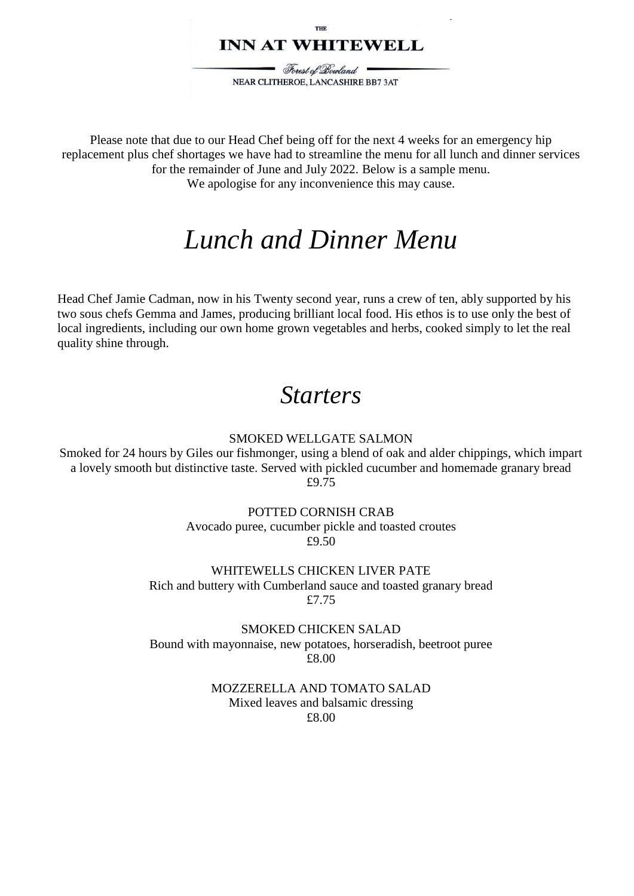### **INN AT WHITEWELL**

Forest of Bowland NEAR CLITHEROE, LANCASHIRE BB7 3AT

Please note that due to our Head Chef being off for the next 4 weeks for an emergency hip replacement plus chef shortages we have had to streamline the menu for all lunch and dinner services for the remainder of June and July 2022. Below is a sample menu. We apologise for any inconvenience this may cause.

# *Lunch and Dinner Menu*

Head Chef Jamie Cadman, now in his Twenty second year, runs a crew of ten, ably supported by his two sous chefs Gemma and James, producing brilliant local food. His ethos is to use only the best of local ingredients, including our own home grown vegetables and herbs, cooked simply to let the real quality shine through.

### *Starters*

#### SMOKED WELLGATE SALMON

Smoked for 24 hours by Giles our fishmonger, using a blend of oak and alder chippings, which impart a lovely smooth but distinctive taste. Served with pickled cucumber and homemade granary bread £9.75

#### POTTED CORNISH CRAB

Avocado puree, cucumber pickle and toasted croutes £9.50

WHITEWELLS CHICKEN LIVER PATE Rich and buttery with Cumberland sauce and toasted granary bread £7.75

SMOKED CHICKEN SALAD Bound with mayonnaise, new potatoes, horseradish, beetroot puree £8.00

#### MOZZERELLA AND TOMATO SALAD Mixed leaves and balsamic dressing £8.00